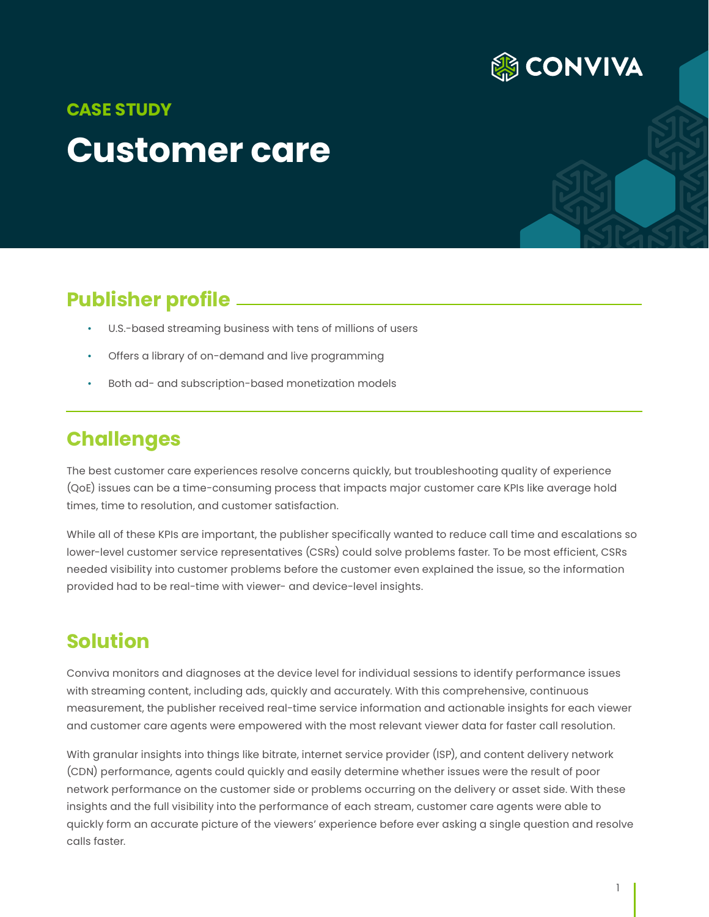

# **Customer care CASE STUDY**

## **Publisher profile**

- U.S.-based streaming business with tens of millions of users
- Offers a library of on-demand and live programming
- Both ad- and subscription-based monetization models

### **Challenges**

The best customer care experiences resolve concerns quickly, but troubleshooting quality of experience (QoE) issues can be a time-consuming process that impacts major customer care KPIs like average hold times, time to resolution, and customer satisfaction.

While all of these KPIs are important, the publisher specifically wanted to reduce call time and escalations so lower-level customer service representatives (CSRs) could solve problems faster. To be most efficient, CSRs needed visibility into customer problems before the customer even explained the issue, so the information provided had to be real-time with viewer- and device-level insights.

### **Solution**

Conviva monitors and diagnoses at the device level for individual sessions to identify performance issues with streaming content, including ads, quickly and accurately. With this comprehensive, continuous measurement, the publisher received real-time service information and actionable insights for each viewer and customer care agents were empowered with the most relevant viewer data for faster call resolution.

With granular insights into things like bitrate, internet service provider (ISP), and content delivery network (CDN) performance, agents could quickly and easily determine whether issues were the result of poor network performance on the customer side or problems occurring on the delivery or asset side. With these insights and the full visibility into the performance of each stream, customer care agents were able to quickly form an accurate picture of the viewers' experience before ever asking a single question and resolve calls faster.